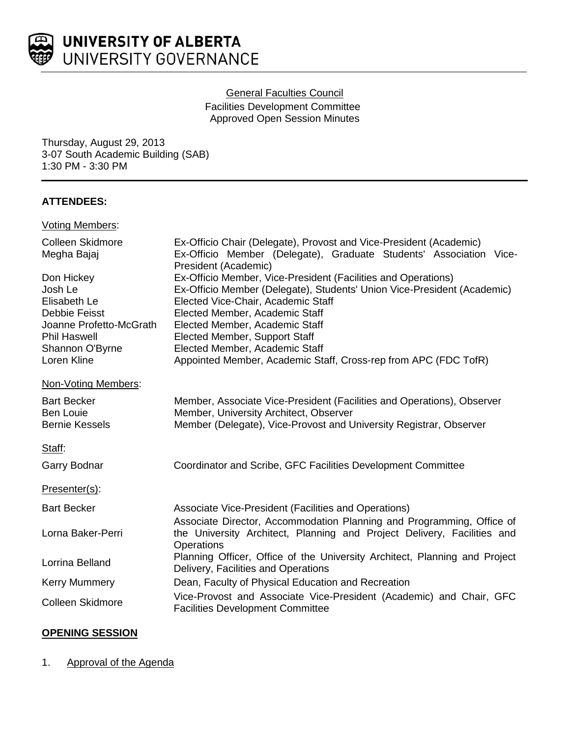

# General Faculties Council

Facilities Development Committee Approved Open Session Minutes

Thursday, August 29, 2013 3-07 South Academic Building (SAB) 1:30 PM - 3:30 PM

# **ATTENDEES:**

## Voting Members:

| <b>Colleen Skidmore</b><br>Megha Bajaj                                                                                                     | Ex-Officio Chair (Delegate), Provost and Vice-President (Academic)<br>Ex-Officio Member (Delegate), Graduate Students' Association Vice-<br>President (Academic)                                                                                                                                                                                                                         |
|--------------------------------------------------------------------------------------------------------------------------------------------|------------------------------------------------------------------------------------------------------------------------------------------------------------------------------------------------------------------------------------------------------------------------------------------------------------------------------------------------------------------------------------------|
| Don Hickey<br>Josh Le<br>Elisabeth Le<br>Debbie Feisst<br>Joanne Profetto-McGrath<br><b>Phil Haswell</b><br>Shannon O'Byrne<br>Loren Kline | Ex-Officio Member, Vice-President (Facilities and Operations)<br>Ex-Officio Member (Delegate), Students' Union Vice-President (Academic)<br>Elected Vice-Chair, Academic Staff<br>Elected Member, Academic Staff<br>Elected Member, Academic Staff<br>Elected Member, Support Staff<br>Elected Member, Academic Staff<br>Appointed Member, Academic Staff, Cross-rep from APC (FDC TofR) |
| Non-Voting Members:                                                                                                                        |                                                                                                                                                                                                                                                                                                                                                                                          |
| <b>Bart Becker</b><br><b>Ben Louie</b><br><b>Bernie Kessels</b>                                                                            | Member, Associate Vice-President (Facilities and Operations), Observer<br>Member, University Architect, Observer<br>Member (Delegate), Vice-Provost and University Registrar, Observer                                                                                                                                                                                                   |
| Staff:                                                                                                                                     |                                                                                                                                                                                                                                                                                                                                                                                          |
| <b>Garry Bodnar</b>                                                                                                                        | Coordinator and Scribe, GFC Facilities Development Committee                                                                                                                                                                                                                                                                                                                             |
| Presenter(s):                                                                                                                              |                                                                                                                                                                                                                                                                                                                                                                                          |
| <b>Bart Becker</b>                                                                                                                         | Associate Vice-President (Facilities and Operations)<br>Associate Director, Accommodation Planning and Programming, Office of                                                                                                                                                                                                                                                            |
| Lorna Baker-Perri                                                                                                                          | the University Architect, Planning and Project Delivery, Facilities and<br>Operations                                                                                                                                                                                                                                                                                                    |
| Lorrina Belland                                                                                                                            | Planning Officer, Office of the University Architect, Planning and Project<br>Delivery, Facilities and Operations                                                                                                                                                                                                                                                                        |
| <b>Kerry Mummery</b>                                                                                                                       | Dean, Faculty of Physical Education and Recreation                                                                                                                                                                                                                                                                                                                                       |
| <b>Colleen Skidmore</b>                                                                                                                    | Vice-Provost and Associate Vice-President (Academic) and Chair, GFC<br><b>Facilities Development Committee</b>                                                                                                                                                                                                                                                                           |

# **OPENING SESSION**

### 1. Approval of the Agenda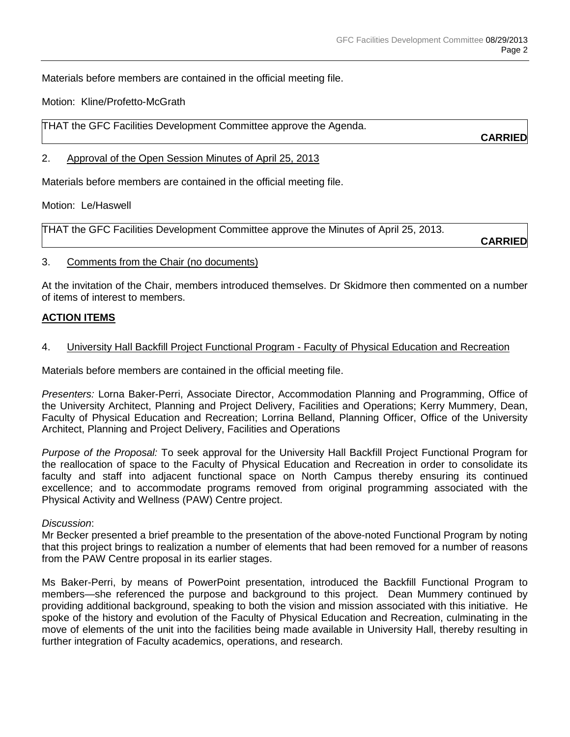Materials before members are contained in the official meeting file.

Motion: Kline/Profetto-McGrath

THAT the GFC Facilities Development Committee approve the Agenda.

**CARRIED**

#### 2. Approval of the Open Session Minutes of April 25, 2013

Materials before members are contained in the official meeting file.

Motion: Le/Haswell

THAT the GFC Facilities Development Committee approve the Minutes of April 25, 2013.

**CARRIED**

#### 3. Comments from the Chair (no documents)

At the invitation of the Chair, members introduced themselves. Dr Skidmore then commented on a number of items of interest to members.

### **ACTION ITEMS**

### 4. University Hall Backfill Project Functional Program - Faculty of Physical Education and Recreation

Materials before members are contained in the official meeting file.

*Presenters:* Lorna Baker-Perri, Associate Director, Accommodation Planning and Programming, Office of the University Architect, Planning and Project Delivery, Facilities and Operations; Kerry Mummery, Dean, Faculty of Physical Education and Recreation; Lorrina Belland, Planning Officer, Office of the University Architect, Planning and Project Delivery, Facilities and Operations

*Purpose of the Proposal:* To seek approval for the University Hall Backfill Project Functional Program for the reallocation of space to the Faculty of Physical Education and Recreation in order to consolidate its faculty and staff into adjacent functional space on North Campus thereby ensuring its continued excellence; and to accommodate programs removed from original programming associated with the Physical Activity and Wellness (PAW) Centre project.

#### *Discussion*:

Mr Becker presented a brief preamble to the presentation of the above-noted Functional Program by noting that this project brings to realization a number of elements that had been removed for a number of reasons from the PAW Centre proposal in its earlier stages.

Ms Baker-Perri, by means of PowerPoint presentation, introduced the Backfill Functional Program to members—she referenced the purpose and background to this project. Dean Mummery continued by providing additional background, speaking to both the vision and mission associated with this initiative. He spoke of the history and evolution of the Faculty of Physical Education and Recreation, culminating in the move of elements of the unit into the facilities being made available in University Hall, thereby resulting in further integration of Faculty academics, operations, and research.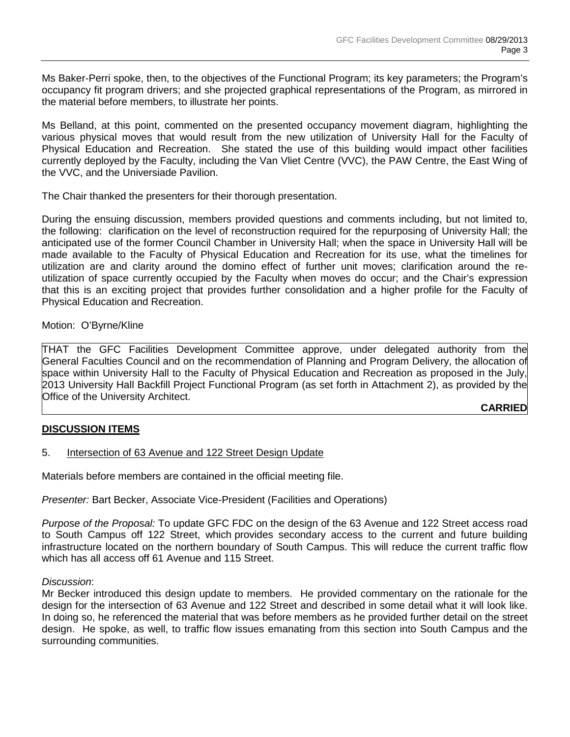Ms Baker-Perri spoke, then, to the objectives of the Functional Program; its key parameters; the Program's occupancy fit program drivers; and she projected graphical representations of the Program, as mirrored in the material before members, to illustrate her points.

Ms Belland, at this point, commented on the presented occupancy movement diagram, highlighting the various physical moves that would result from the new utilization of University Hall for the Faculty of Physical Education and Recreation. She stated the use of this building would impact other facilities currently deployed by the Faculty, including the Van Vliet Centre (VVC), the PAW Centre, the East Wing of the VVC, and the Universiade Pavilion.

The Chair thanked the presenters for their thorough presentation.

During the ensuing discussion, members provided questions and comments including, but not limited to, the following: clarification on the level of reconstruction required for the repurposing of University Hall; the anticipated use of the former Council Chamber in University Hall; when the space in University Hall will be made available to the Faculty of Physical Education and Recreation for its use, what the timelines for utilization are and clarity around the domino effect of further unit moves; clarification around the reutilization of space currently occupied by the Faculty when moves do occur; and the Chair's expression that this is an exciting project that provides further consolidation and a higher profile for the Faculty of Physical Education and Recreation.

Motion: O'Byrne/Kline

THAT the GFC Facilities Development Committee approve, under delegated authority from the General Faculties Council and on the recommendation of Planning and Program Delivery, the allocation of space within University Hall to the Faculty of Physical Education and Recreation as proposed in the July, 2013 University Hall Backfill Project Functional Program (as set forth in Attachment 2), as provided by the Office of the University Architect.

### **CARRIED**

### **DISCUSSION ITEMS**

5. Intersection of 63 Avenue and 122 Street Design Update

Materials before members are contained in the official meeting file.

*Presenter:* Bart Becker, Associate Vice-President (Facilities and Operations)

*Purpose of the Proposal:* To update GFC FDC on the design of the 63 Avenue and 122 Street access road to South Campus off 122 Street, which provides secondary access to the current and future building infrastructure located on the northern boundary of South Campus. This will reduce the current traffic flow which has all access off 61 Avenue and 115 Street.

#### *Discussion*:

Mr Becker introduced this design update to members. He provided commentary on the rationale for the design for the intersection of 63 Avenue and 122 Street and described in some detail what it will look like. In doing so, he referenced the material that was before members as he provided further detail on the street design. He spoke, as well, to traffic flow issues emanating from this section into South Campus and the surrounding communities.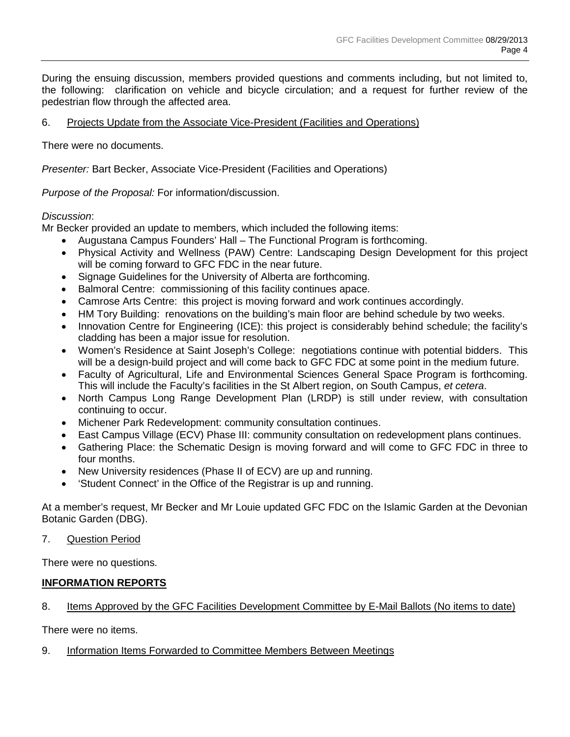During the ensuing discussion, members provided questions and comments including, but not limited to, the following: clarification on vehicle and bicycle circulation; and a request for further review of the pedestrian flow through the affected area.

## 6. Projects Update from the Associate Vice-President (Facilities and Operations)

There were no documents.

*Presenter:* Bart Becker, Associate Vice-President (Facilities and Operations)

*Purpose of the Proposal:* For information/discussion.

### *Discussion*:

Mr Becker provided an update to members, which included the following items:

- Augustana Campus Founders' Hall The Functional Program is forthcoming.
- Physical Activity and Wellness (PAW) Centre: Landscaping Design Development for this project will be coming forward to GFC FDC in the near future.
- Signage Guidelines for the University of Alberta are forthcoming.
- Balmoral Centre: commissioning of this facility continues apace.
- Camrose Arts Centre: this project is moving forward and work continues accordingly.
- HM Tory Building: renovations on the building's main floor are behind schedule by two weeks.
- Innovation Centre for Engineering (ICE): this project is considerably behind schedule; the facility's cladding has been a major issue for resolution.
- Women's Residence at Saint Joseph's College: negotiations continue with potential bidders. This will be a design-build project and will come back to GFC FDC at some point in the medium future.
- Faculty of Agricultural, Life and Environmental Sciences General Space Program is forthcoming. This will include the Faculty's facilities in the St Albert region, on South Campus, *et cetera*.
- North Campus Long Range Development Plan (LRDP) is still under review, with consultation continuing to occur.
- Michener Park Redevelopment: community consultation continues.
- East Campus Village (ECV) Phase III: community consultation on redevelopment plans continues.
- Gathering Place: the Schematic Design is moving forward and will come to GFC FDC in three to four months.
- New University residences (Phase II of ECV) are up and running.
- 'Student Connect' in the Office of the Registrar is up and running.

At a member's request, Mr Becker and Mr Louie updated GFC FDC on the Islamic Garden at the Devonian Botanic Garden (DBG).

### 7. Question Period

There were no questions.

# **INFORMATION REPORTS**

### 8. Items Approved by the GFC Facilities Development Committee by E-Mail Ballots (No items to date)

There were no items.

### 9. Information Items Forwarded to Committee Members Between Meetings